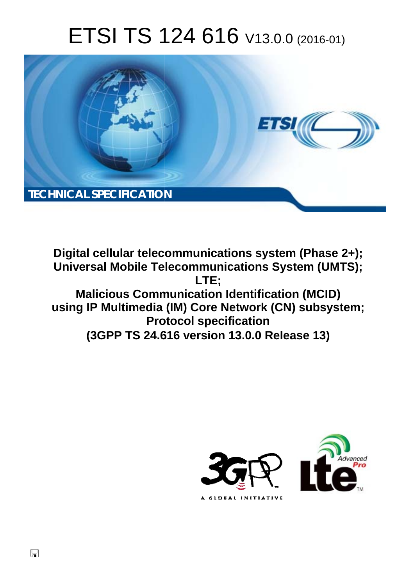# ETSI TS 124 616 V13.0.0 (2016-01)



**Digital cellular telecommunications system (Phase 2+); Universal Mobile Tel elecommunications System ( (UMTS); Malicious Communication Identification (MCID) using IP Multimedia ( ia (IM) Core Network (CN) subs bsystem; Prot rotocol specification (3GPP TS 24.6 .616 version 13.0.0 Release 13 13) LTE;** 



 $\Box$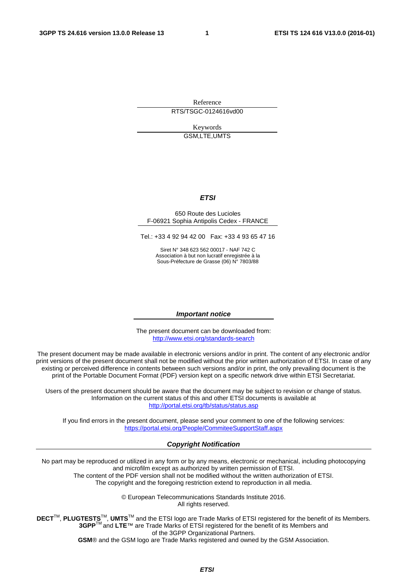Reference RTS/TSGC-0124616vd00

> Keywords GSM,LTE,UMTS

#### *ETSI*

#### 650 Route des Lucioles F-06921 Sophia Antipolis Cedex - FRANCE

Tel.: +33 4 92 94 42 00 Fax: +33 4 93 65 47 16

Siret N° 348 623 562 00017 - NAF 742 C Association à but non lucratif enregistrée à la Sous-Préfecture de Grasse (06) N° 7803/88

#### *Important notice*

The present document can be downloaded from: <http://www.etsi.org/standards-search>

The present document may be made available in electronic versions and/or in print. The content of any electronic and/or print versions of the present document shall not be modified without the prior written authorization of ETSI. In case of any existing or perceived difference in contents between such versions and/or in print, the only prevailing document is the print of the Portable Document Format (PDF) version kept on a specific network drive within ETSI Secretariat.

Users of the present document should be aware that the document may be subject to revision or change of status. Information on the current status of this and other ETSI documents is available at <http://portal.etsi.org/tb/status/status.asp>

If you find errors in the present document, please send your comment to one of the following services: <https://portal.etsi.org/People/CommiteeSupportStaff.aspx>

#### *Copyright Notification*

No part may be reproduced or utilized in any form or by any means, electronic or mechanical, including photocopying and microfilm except as authorized by written permission of ETSI.

The content of the PDF version shall not be modified without the written authorization of ETSI. The copyright and the foregoing restriction extend to reproduction in all media.

> © European Telecommunications Standards Institute 2016. All rights reserved.

**DECT**TM, **PLUGTESTS**TM, **UMTS**TM and the ETSI logo are Trade Marks of ETSI registered for the benefit of its Members. **3GPP**TM and **LTE**™ are Trade Marks of ETSI registered for the benefit of its Members and of the 3GPP Organizational Partners.

**GSM**® and the GSM logo are Trade Marks registered and owned by the GSM Association.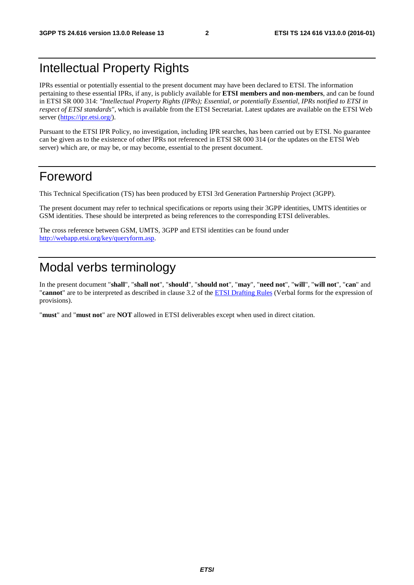# Intellectual Property Rights

IPRs essential or potentially essential to the present document may have been declared to ETSI. The information pertaining to these essential IPRs, if any, is publicly available for **ETSI members and non-members**, and can be found in ETSI SR 000 314: *"Intellectual Property Rights (IPRs); Essential, or potentially Essential, IPRs notified to ETSI in respect of ETSI standards"*, which is available from the ETSI Secretariat. Latest updates are available on the ETSI Web server [\(https://ipr.etsi.org/](https://ipr.etsi.org/)).

Pursuant to the ETSI IPR Policy, no investigation, including IPR searches, has been carried out by ETSI. No guarantee can be given as to the existence of other IPRs not referenced in ETSI SR 000 314 (or the updates on the ETSI Web server) which are, or may be, or may become, essential to the present document.

# Foreword

This Technical Specification (TS) has been produced by ETSI 3rd Generation Partnership Project (3GPP).

The present document may refer to technical specifications or reports using their 3GPP identities, UMTS identities or GSM identities. These should be interpreted as being references to the corresponding ETSI deliverables.

The cross reference between GSM, UMTS, 3GPP and ETSI identities can be found under [http://webapp.etsi.org/key/queryform.as](http://webapp.etsi.org/key/queryform.asp)p.

# Modal verbs terminology

In the present document "**shall**", "**shall not**", "**should**", "**should not**", "**may**", "**need not**", "**will**", "**will not**", "**can**" and "**cannot**" are to be interpreted as described in clause 3.2 of the [ETSI Drafting Rules](http://portal.etsi.org/Help/editHelp!/Howtostart/ETSIDraftingRules.aspx) (Verbal forms for the expression of provisions).

"**must**" and "**must not**" are **NOT** allowed in ETSI deliverables except when used in direct citation.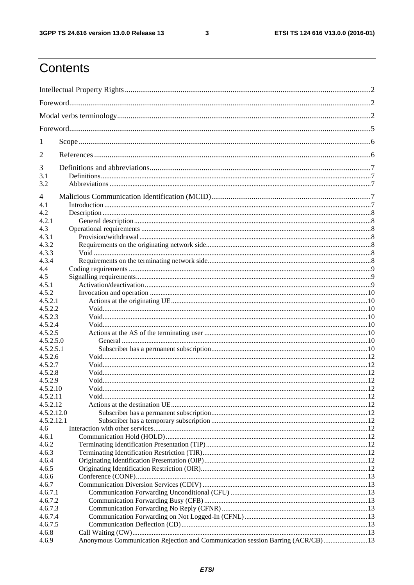$\mathbf{3}$ 

# Contents

| 1              |                                                                                 |  |  |  |
|----------------|---------------------------------------------------------------------------------|--|--|--|
| 2              |                                                                                 |  |  |  |
| 3              |                                                                                 |  |  |  |
| 3.1<br>3.2     |                                                                                 |  |  |  |
|                |                                                                                 |  |  |  |
| $\overline{4}$ |                                                                                 |  |  |  |
| 4.1            |                                                                                 |  |  |  |
| 4.2            |                                                                                 |  |  |  |
| 4.2.1          |                                                                                 |  |  |  |
| 4.3            |                                                                                 |  |  |  |
| 4.3.1          |                                                                                 |  |  |  |
| 4.3.2          |                                                                                 |  |  |  |
| 4.3.3<br>4.3.4 |                                                                                 |  |  |  |
| 4.4            |                                                                                 |  |  |  |
| 4.5            |                                                                                 |  |  |  |
| 4.5.1          |                                                                                 |  |  |  |
| 4.5.2          |                                                                                 |  |  |  |
| 4.5.2.1        |                                                                                 |  |  |  |
| 4.5.2.2        |                                                                                 |  |  |  |
| 4.5.2.3        |                                                                                 |  |  |  |
| 4.5.2.4        |                                                                                 |  |  |  |
| 4.5.2.5        |                                                                                 |  |  |  |
| 4.5.2.5.0      |                                                                                 |  |  |  |
| 4.5.2.5.1      |                                                                                 |  |  |  |
| 4.5.2.6        |                                                                                 |  |  |  |
| 4.5.2.7        |                                                                                 |  |  |  |
| 4.5.2.8        |                                                                                 |  |  |  |
| 4.5.2.9        |                                                                                 |  |  |  |
| 4.5.2.10       |                                                                                 |  |  |  |
| 4.5.2.11       |                                                                                 |  |  |  |
| 4.5.2.12       |                                                                                 |  |  |  |
| 4.5.2.12.0     |                                                                                 |  |  |  |
| 4.5.2.12.1     |                                                                                 |  |  |  |
| 4.6            |                                                                                 |  |  |  |
| 4.6.1          |                                                                                 |  |  |  |
| 4.6.2<br>4.6.3 |                                                                                 |  |  |  |
| 4.6.4          |                                                                                 |  |  |  |
| 4.6.5          |                                                                                 |  |  |  |
| 4.6.6          |                                                                                 |  |  |  |
| 4.6.7          |                                                                                 |  |  |  |
| 4.6.7.1        |                                                                                 |  |  |  |
| 4.6.7.2        |                                                                                 |  |  |  |
| 4.6.7.3        |                                                                                 |  |  |  |
| 4.6.7.4        |                                                                                 |  |  |  |
| 4.6.7.5        |                                                                                 |  |  |  |
| 4.6.8          |                                                                                 |  |  |  |
| 4.6.9          | Anonymous Communication Rejection and Communication session Barring (ACR/CB) 13 |  |  |  |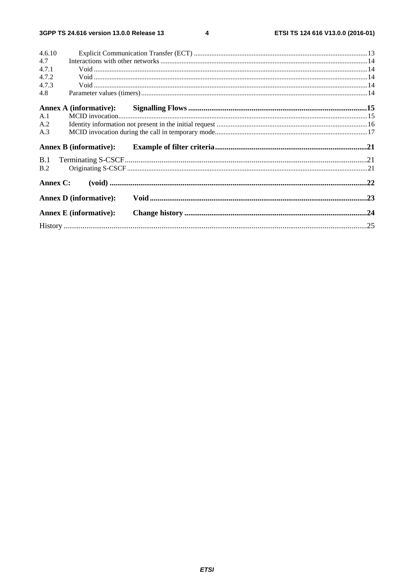$\overline{\mathbf{4}}$ 

| 4.6.10   |                               |  |
|----------|-------------------------------|--|
| 4.7      |                               |  |
| 4.7.1    |                               |  |
| 4.7.2    |                               |  |
| 4.7.3    |                               |  |
| 4.8      |                               |  |
|          |                               |  |
| A.1      |                               |  |
| A.2      |                               |  |
| A.3      |                               |  |
|          | <b>Annex B</b> (informative): |  |
| B.1      |                               |  |
| B.2      |                               |  |
| Annex C: |                               |  |
|          | <b>Annex D</b> (informative): |  |
|          | <b>Annex E</b> (informative): |  |
|          |                               |  |
|          |                               |  |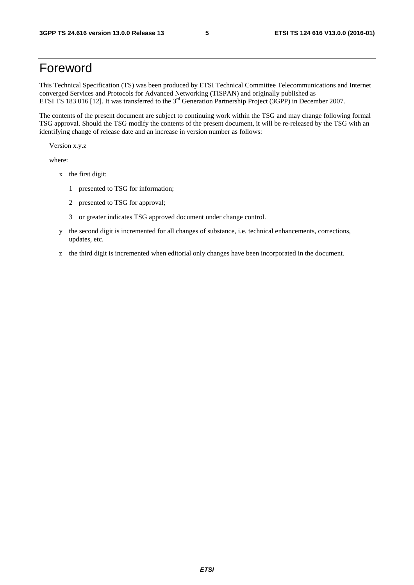# Foreword

This Technical Specification (TS) was been produced by ETSI Technical Committee Telecommunications and Internet converged Services and Protocols for Advanced Networking (TISPAN) and originally published as ETSI TS 183 016 [12]. It was transferred to the 3<sup>rd</sup> Generation Partnership Project (3GPP) in December 2007.

The contents of the present document are subject to continuing work within the TSG and may change following formal TSG approval. Should the TSG modify the contents of the present document, it will be re-released by the TSG with an identifying change of release date and an increase in version number as follows:

Version x.y.z

where:

- x the first digit:
	- 1 presented to TSG for information;
	- 2 presented to TSG for approval;
	- 3 or greater indicates TSG approved document under change control.
- y the second digit is incremented for all changes of substance, i.e. technical enhancements, corrections, updates, etc.
- z the third digit is incremented when editorial only changes have been incorporated in the document.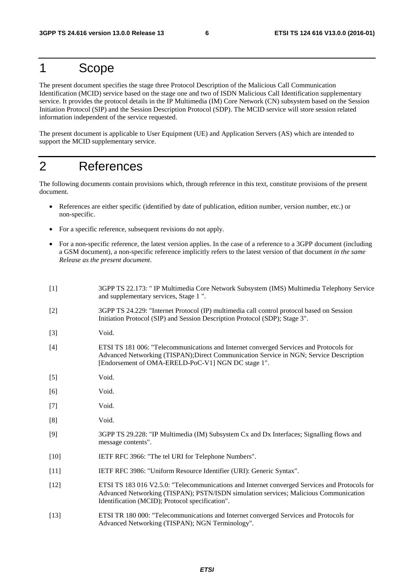# 1 Scope

The present document specifies the stage three Protocol Description of the Malicious Call Communication Identification (MCID) service based on the stage one and two of ISDN Malicious Call Identification supplementary service. It provides the protocol details in the IP Multimedia (IM) Core Network (CN) subsystem based on the Session Initiation Protocol (SIP) and the Session Description Protocol (SDP). The MCID service will store session related information independent of the service requested.

The present document is applicable to User Equipment (UE) and Application Servers (AS) which are intended to support the MCID supplementary service.

# 2 References

The following documents contain provisions which, through reference in this text, constitute provisions of the present document.

- References are either specific (identified by date of publication, edition number, version number, etc.) or non-specific.
- For a specific reference, subsequent revisions do not apply.
- For a non-specific reference, the latest version applies. In the case of a reference to a 3GPP document (including a GSM document), a non-specific reference implicitly refers to the latest version of that document *in the same Release as the present document*.

| $[1]$  | 3GPP TS 22.173: " IP Multimedia Core Network Subsystem (IMS) Multimedia Telephony Service<br>and supplementary services, Stage 1".                                                                                                       |
|--------|------------------------------------------------------------------------------------------------------------------------------------------------------------------------------------------------------------------------------------------|
| $[2]$  | 3GPP TS 24.229: "Internet Protocol (IP) multimedia call control protocol based on Session<br>Initiation Protocol (SIP) and Session Description Protocol (SDP); Stage 3".                                                                 |
| $[3]$  | Void.                                                                                                                                                                                                                                    |
| $[4]$  | ETSI TS 181 006: "Telecommunications and Internet converged Services and Protocols for<br>Advanced Networking (TISPAN); Direct Communication Service in NGN; Service Description<br>[Endorsement of OMA-ERELD-PoC-V1] NGN DC stage 1".   |
| $[5]$  | Void.                                                                                                                                                                                                                                    |
| [6]    | Void.                                                                                                                                                                                                                                    |
| $[7]$  | Void.                                                                                                                                                                                                                                    |
| [8]    | Void.                                                                                                                                                                                                                                    |
| $[9]$  | 3GPP TS 29.228: "IP Multimedia (IM) Subsystem Cx and Dx Interfaces; Signalling flows and<br>message contents".                                                                                                                           |
| $[10]$ | IETF RFC 3966: "The tel URI for Telephone Numbers".                                                                                                                                                                                      |
| $[11]$ | IETF RFC 3986: "Uniform Resource Identifier (URI): Generic Syntax".                                                                                                                                                                      |
| $[12]$ | ETSI TS 183 016 V2.5.0: "Telecommunications and Internet converged Services and Protocols for<br>Advanced Networking (TISPAN); PSTN/ISDN simulation services; Malicious Communication<br>Identification (MCID); Protocol specification". |
| $[13]$ | ETSI TR 180 000: "Telecommunications and Internet converged Services and Protocols for<br>Advanced Networking (TISPAN); NGN Terminology".                                                                                                |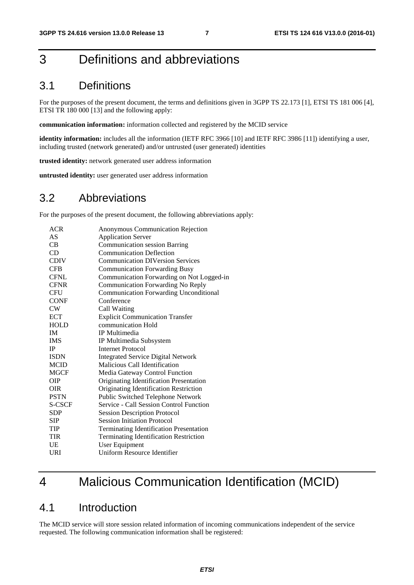# 3 Definitions and abbreviations

# 3.1 Definitions

For the purposes of the present document, the terms and definitions given in 3GPP TS 22.173 [1], ETSI TS 181 006 [4], ETSI TR 180 000 [13] and the following apply:

**communication information:** information collected and registered by the MCID service

**identity information:** includes all the information (IETF RFC 3966 [10] and IETF RFC 3986 [11]) identifying a user, including trusted (network generated) and/or untrusted (user generated) identities

**trusted identity:** network generated user address information

**untrusted identity:** user generated user address information

### 3.2 Abbreviations

For the purposes of the present document, the following abbreviations apply:

| <b>ACR</b>    | Anonymous Communication Rejection              |
|---------------|------------------------------------------------|
| AS            | <b>Application Server</b>                      |
| CB            | <b>Communication session Barring</b>           |
| <b>CD</b>     | <b>Communication Deflection</b>                |
| <b>CDIV</b>   | <b>Communication DIVersion Services</b>        |
| <b>CFB</b>    | <b>Communication Forwarding Busy</b>           |
| <b>CFNL</b>   | Communication Forwarding on Not Logged-in      |
| <b>CFNR</b>   | Communication Forwarding No Reply              |
| CFU           | <b>Communication Forwarding Unconditional</b>  |
| <b>CONF</b>   | Conference                                     |
| CW            | Call Waiting                                   |
| <b>ECT</b>    | <b>Explicit Communication Transfer</b>         |
| <b>HOLD</b>   | communication Hold                             |
| <b>IM</b>     | IP Multimedia                                  |
| <b>IMS</b>    | IP Multimedia Subsystem                        |
| <b>IP</b>     | <b>Internet Protocol</b>                       |
| <b>ISDN</b>   | <b>Integrated Service Digital Network</b>      |
| <b>MCID</b>   | Malicious Call Identification                  |
| <b>MGCF</b>   | Media Gateway Control Function                 |
| OIP           | Originating Identification Presentation        |
| <b>OIR</b>    | Originating Identification Restriction         |
| <b>PSTN</b>   | Public Switched Telephone Network              |
| <b>S-CSCF</b> | Service - Call Session Control Function        |
| <b>SDP</b>    | <b>Session Description Protocol</b>            |
| <b>SIP</b>    | <b>Session Initiation Protocol</b>             |
| <b>TIP</b>    | <b>Terminating Identification Presentation</b> |
| <b>TIR</b>    | <b>Terminating Identification Restriction</b>  |
| UE            | User Equipment                                 |
| URI           | <b>Uniform Resource Identifier</b>             |

# 4 Malicious Communication Identification (MCID)

### 4.1 Introduction

The MCID service will store session related information of incoming communications independent of the service requested. The following communication information shall be registered: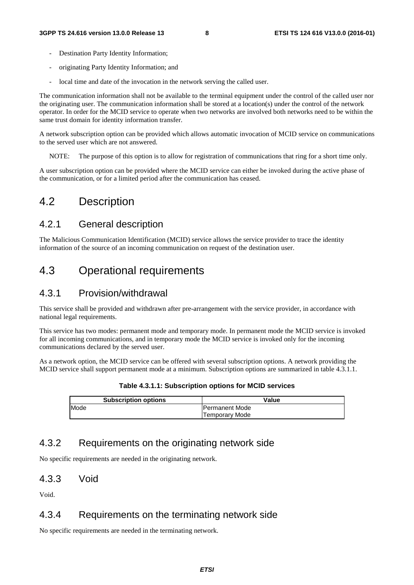- Destination Party Identity Information;
- originating Party Identity Information; and
- local time and date of the invocation in the network serving the called user.

The communication information shall not be available to the terminal equipment under the control of the called user nor the originating user. The communication information shall be stored at a location(s) under the control of the network operator. In order for the MCID service to operate when two networks are involved both networks need to be within the same trust domain for identity information transfer.

A network subscription option can be provided which allows automatic invocation of MCID service on communications to the served user which are not answered.

NOTE: The purpose of this option is to allow for registration of communications that ring for a short time only.

A user subscription option can be provided where the MCID service can either be invoked during the active phase of the communication, or for a limited period after the communication has ceased.

# 4.2 Description

### 4.2.1 General description

The Malicious Communication Identification (MCID) service allows the service provider to trace the identity information of the source of an incoming communication on request of the destination user.

# 4.3 Operational requirements

### 4.3.1 Provision/withdrawal

This service shall be provided and withdrawn after pre-arrangement with the service provider, in accordance with national legal requirements.

This service has two modes: permanent mode and temporary mode. In permanent mode the MCID service is invoked for all incoming communications, and in temporary mode the MCID service is invoked only for the incoming communications declared by the served user.

As a network option, the MCID service can be offered with several subscription options. A network providing the MCID service shall support permanent mode at a minimum. Subscription options are summarized in table 4.3.1.1.

| Table 4.3.1.1: Subscription options for MCID services |       |  |
|-------------------------------------------------------|-------|--|
| <b>Subscription options</b>                           | Value |  |

| <b>OUDSUIDIUUI ODIIOIS</b> | value                 |
|----------------------------|-----------------------|
| Mode                       | <b>Permanent Mode</b> |
|                            | Mode<br>, emporarv    |

### 4.3.2 Requirements on the originating network side

No specific requirements are needed in the originating network.

#### 4.3.3 Void

Void.

### 4.3.4 Requirements on the terminating network side

No specific requirements are needed in the terminating network.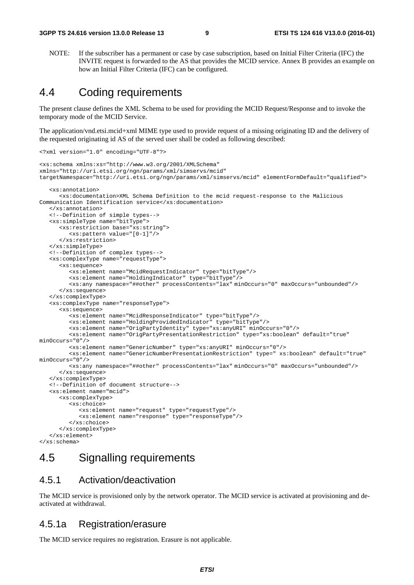NOTE: If the subscriber has a permanent or case by case subscription, based on Initial Filter Criteria (IFC) the INVITE request is forwarded to the AS that provides the MCID service. Annex B provides an example on how an Initial Filter Criteria (IFC) can be configured.

# 4.4 Coding requirements

The present clause defines the XML Schema to be used for providing the MCID Request/Response and to invoke the temporary mode of the MCID Service.

The application/vnd.etsi.mcid+xml MIME type used to provide request of a missing originating ID and the delivery of the requested originating id AS of the served user shall be coded as following described:

```
<?xml version="1.0" encoding="UTF-8"?> 
<xs:schema xmlns:xs="http://www.w3.org/2001/XMLSchema" 
xmlns="http://uri.etsi.org/ngn/params/xml/simservs/mcid" 
targetNamespace="http://uri.etsi.org/ngn/params/xml/simservs/mcid" elementFormDefault="qualified"> 
    <xs:annotation> 
       <xs:documentation>XML Schema Definition to the mcid request-response to the Malicious 
Communication Identification service</xs:documentation> 
    </xs:annotation> 
    <!--Definition of simple types--> 
    <xs:simpleType name="bitType"> 
       <xs:restriction base="xs:string"> 
          <xs:pattern value="[0-1]"/> 
       </xs:restriction> 
    </xs:simpleType> 
    <!--Definition of complex types--> 
    <xs:complexType name="requestType"> 
       <xs:sequence> 
          <xs:element name="McidRequestIndicator" type="bitType"/> 
          <xs:element name="HoldingIndicator" type="bitType"/> 
          <xs:any namespace="##other" processContents="lax" minOccurs="0" maxOccurs="unbounded"/> 
       </xs:sequence> 
    </xs:complexType> 
    <xs:complexType name="responseType"> 
       <xs:sequence> 
          <xs:element name="McidResponseIndicator" type="bitType"/> 
          <xs:element name="HoldingProvidedIndicator" type="bitType"/> 
          <xs:element name="OrigPartyIdentity" type="xs:anyURI" minOccurs="0"/> 
          <xs:element name="OrigPartyPresentationRestriction" type="xs:boolean" default="true" 
minOccurs="0"/> 
          <xs:element name="GenericNumber" type="xs:anyURI" minOccurs="0"/> 
          <xs:element name="GenericNumberPresentationRestriction" type=" xs:boolean" default="true" 
minOccurs="0"/> 
          <xs:any namespace="##other" processContents="lax" minOccurs="0" maxOccurs="unbounded"/> 
       </xs:sequence> 
    </xs:complexType> 
    <!--Definition of document structure--> 
    <xs:element name="mcid"> 
       <xs:complexType> 
          <xs:choice> 
             <xs:element name="request" type="requestType"/> 
             <xs:element name="response" type="responseType"/> 
          </xs:choice> 
       </xs:complexType> 
    </xs:element> 
</xs:schema>
```
# 4.5 Signalling requirements

#### 4.5.1 Activation/deactivation

The MCID service is provisioned only by the network operator. The MCID service is activated at provisioning and deactivated at withdrawal.

#### 4.5.1a Registration/erasure

The MCID service requires no registration. Erasure is not applicable.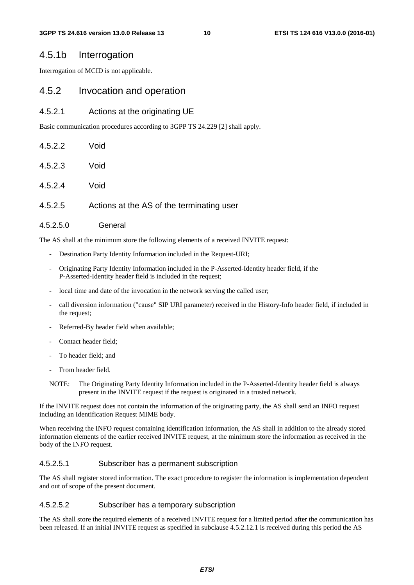#### 4.5.1b Interrogation

Interrogation of MCID is not applicable.

#### 4.5.2 Invocation and operation

#### 4.5.2.1 Actions at the originating UE

Basic communication procedures according to 3GPP TS 24.229 [2] shall apply.

| 4.5.2.2 | Void                                      |
|---------|-------------------------------------------|
| 4.5.2.3 | Void                                      |
| 4.5.2.4 | Void                                      |
| 4.5.2.5 | Actions at the AS of the terminating user |
|         |                                           |

The AS shall at the minimum store the following elements of a received INVITE request:

- Destination Party Identity Information included in the Request-URI;
- Originating Party Identity Information included in the P-Asserted-Identity header field, if the P-Asserted-Identity header field is included in the request;
- local time and date of the invocation in the network serving the called user;
- call diversion information ("cause" SIP URI parameter) received in the History-Info header field, if included in the request;
- Referred-By header field when available;
- Contact header field:

4.5.2.5.0 General

- To header field; and
- From header field.

NOTE: The Originating Party Identity Information included in the P-Asserted-Identity header field is always present in the INVITE request if the request is originated in a trusted network.

If the INVITE request does not contain the information of the originating party, the AS shall send an INFO request including an Identification Request MIME body.

When receiving the INFO request containing identification information, the AS shall in addition to the already stored information elements of the earlier received INVITE request, at the minimum store the information as received in the body of the INFO request.

#### 4.5.2.5.1 Subscriber has a permanent subscription

The AS shall register stored information. The exact procedure to register the information is implementation dependent and out of scope of the present document.

#### 4.5.2.5.2 Subscriber has a temporary subscription

The AS shall store the required elements of a received INVITE request for a limited period after the communication has been released. If an initial INVITE request as specified in subclause 4.5.2.12.1 is received during this period the AS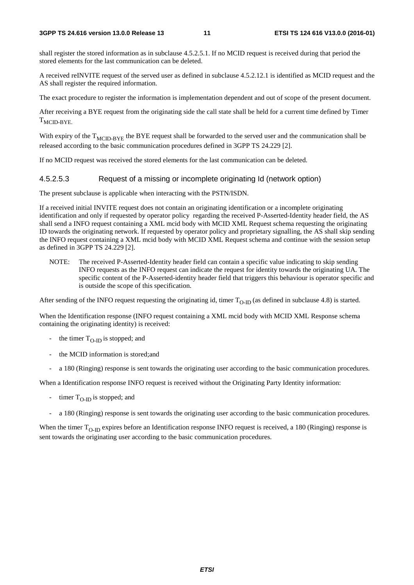shall register the stored information as in subclause 4.5.2.5.1. If no MCID request is received during that period the stored elements for the last communication can be deleted.

A received reINVITE request of the served user as defined in subclause 4.5.2.12.1 is identified as MCID request and the AS shall register the required information.

The exact procedure to register the information is implementation dependent and out of scope of the present document.

After receiving a BYE request from the originating side the call state shall be held for a current time defined by Timer  $T_{\text{MCID-BYE}}$ 

With expiry of the  $T<sub>MCID-BYE</sub>$  the BYE request shall be forwarded to the served user and the communication shall be released according to the basic communication procedures defined in 3GPP TS 24.229 [2].

If no MCID request was received the stored elements for the last communication can be deleted.

#### 4.5.2.5.3 Request of a missing or incomplete originating Id (network option)

The present subclause is applicable when interacting with the PSTN/ISDN.

If a received initial INVITE request does not contain an originating identification or a incomplete originating identification and only if requested by operator policy regarding the received P-Asserted-Identity header field, the AS shall send a INFO request containing a XML mcid body with MCID XML Request schema requesting the originating ID towards the originating network. If requested by operator policy and proprietary signalling, the AS shall skip sending the INFO request containing a XML mcid body with MCID XML Request schema and continue with the session setup as defined in 3GPP TS 24.229 [2].

NOTE: The received P-Asserted-Identity header field can contain a specific value indicating to skip sending INFO requests as the INFO request can indicate the request for identity towards the originating UA. The specific content of the P-Asserted-identity header field that triggers this behaviour is operator specific and is outside the scope of this specification.

After sending of the INFO request requesting the originating id, timer  $T_{O-ID}$  (as defined in subclause 4.8) is started.

When the Identification response (INFO request containing a XML mcid body with MCID XML Response schema containing the originating identity) is received:

- the timer  $T_{\Omega}$  is stopped; and
- the MCID information is stored; and
- a 180 (Ringing) response is sent towards the originating user according to the basic communication procedures.

When a Identification response INFO request is received without the Originating Party Identity information:

- timer  $T_{O-ID}$  is stopped; and
- a 180 (Ringing) response is sent towards the originating user according to the basic communication procedures.

When the timer  $T_{O-ID}$  expires before an Identification response INFO request is received, a 180 (Ringing) response is sent towards the originating user according to the basic communication procedures.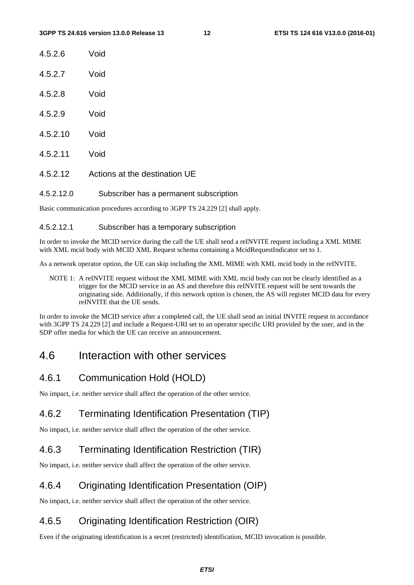| 4.5.2.6 | Void |
|---------|------|
| 4.5.2.7 | Void |

- 
- 4.5.2.8 Void
- 4.5.2.9 Void
- 4.5.2.10 Void
- 4.5.2.11 Void
- 4.5.2.12 Actions at the destination UE

#### 4.5.2.12.0 Subscriber has a permanent subscription

Basic communication procedures according to 3GPP TS 24.229 [2] shall apply.

#### 4.5.2.12.1 Subscriber has a temporary subscription

In order to invoke the MCID service during the call the UE shall send a reINVITE request including a XML MIME with XML mcid body with MCID XML Request schema containing a McidRequestIndicator set to 1.

As a network operator option, the UE can skip including the XML MIME with XML mcid body in the reINVITE.

NOTE 1: A reINVITE request without the XML MIME with XML mcid body can not be clearly identified as a trigger for the MCID service in an AS and therefore this reINVITE request will be sent towards the originating side. Additionally, if this network option is chosen, the AS will register MCID data for every reINVITE that the UE sends.

In order to invoke the MCID service after a completed call, the UE shall send an initial INVITE request in accordance with 3GPP TS 24.229 [2] and include a Request-URI set to an operator specific URI provided by the user, and in the SDP offer media for which the UE can receive an announcement.

# 4.6 Interaction with other services

### 4.6.1 Communication Hold (HOLD)

No impact, i.e. neither service shall affect the operation of the other service.

### 4.6.2 Terminating Identification Presentation (TIP)

No impact, i.e. neither service shall affect the operation of the other service.

### 4.6.3 Terminating Identification Restriction (TIR)

No impact, i.e. neither service shall affect the operation of the other service.

### 4.6.4 Originating Identification Presentation (OIP)

No impact, i.e. neither service shall affect the operation of the other service.

# 4.6.5 Originating Identification Restriction (OIR)

Even if the originating identification is a secret (restricted) identification, MCID invocation is possible.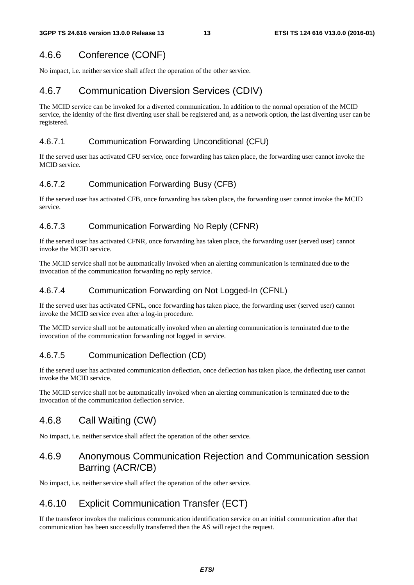# 4.6.6 Conference (CONF)

No impact, i.e. neither service shall affect the operation of the other service.

# 4.6.7 Communication Diversion Services (CDIV)

The MCID service can be invoked for a diverted communication. In addition to the normal operation of the MCID service, the identity of the first diverting user shall be registered and, as a network option, the last diverting user can be registered.

#### 4.6.7.1 Communication Forwarding Unconditional (CFU)

If the served user has activated CFU service, once forwarding has taken place, the forwarding user cannot invoke the MCID service.

#### 4.6.7.2 Communication Forwarding Busy (CFB)

If the served user has activated CFB, once forwarding has taken place, the forwarding user cannot invoke the MCID service.

#### 4.6.7.3 Communication Forwarding No Reply (CFNR)

If the served user has activated CFNR, once forwarding has taken place, the forwarding user (served user) cannot invoke the MCID service.

The MCID service shall not be automatically invoked when an alerting communication is terminated due to the invocation of the communication forwarding no reply service.

#### 4.6.7.4 Communication Forwarding on Not Logged-In (CFNL)

If the served user has activated CFNL, once forwarding has taken place, the forwarding user (served user) cannot invoke the MCID service even after a log-in procedure.

The MCID service shall not be automatically invoked when an alerting communication is terminated due to the invocation of the communication forwarding not logged in service.

#### 4.6.7.5 Communication Deflection (CD)

If the served user has activated communication deflection, once deflection has taken place, the deflecting user cannot invoke the MCID service.

The MCID service shall not be automatically invoked when an alerting communication is terminated due to the invocation of the communication deflection service.

### 4.6.8 Call Waiting (CW)

No impact, i.e. neither service shall affect the operation of the other service.

### 4.6.9 Anonymous Communication Rejection and Communication session Barring (ACR/CB)

No impact, i.e. neither service shall affect the operation of the other service.

### 4.6.10 Explicit Communication Transfer (ECT)

If the transferor invokes the malicious communication identification service on an initial communication after that communication has been successfully transferred then the AS will reject the request.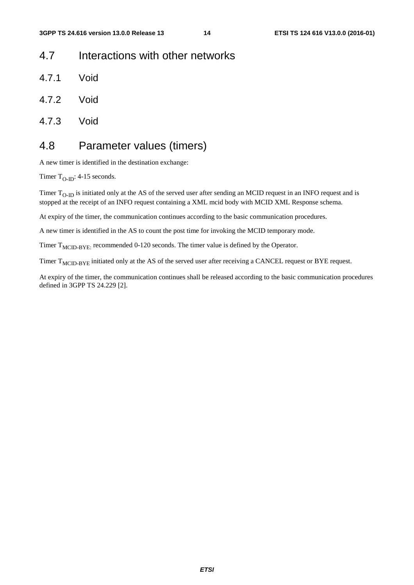# 4.7 Interactions with other networks

- 4.7.1 Void
- 4.7.2 Void
- 4.7.3 Void

# 4.8 Parameter values (timers)

A new timer is identified in the destination exchange:

Timer  $T_{O-ID}$ : 4-15 seconds.

Timer  $T_{O-ID}$  is initiated only at the AS of the served user after sending an MCID request in an INFO request and is stopped at the receipt of an INFO request containing a XML mcid body with MCID XML Response schema.

At expiry of the timer, the communication continues according to the basic communication procedures.

A new timer is identified in the AS to count the post time for invoking the MCID temporary mode.

Timer  $T_{\text{MCID-BYE:}}$  recommended 0-120 seconds. The timer value is defined by the Operator.

Timer T<sub>MCID-BYE</sub> initiated only at the AS of the served user after receiving a CANCEL request or BYE request.

At expiry of the timer, the communication continues shall be released according to the basic communication procedures defined in 3GPP TS 24.229 [2].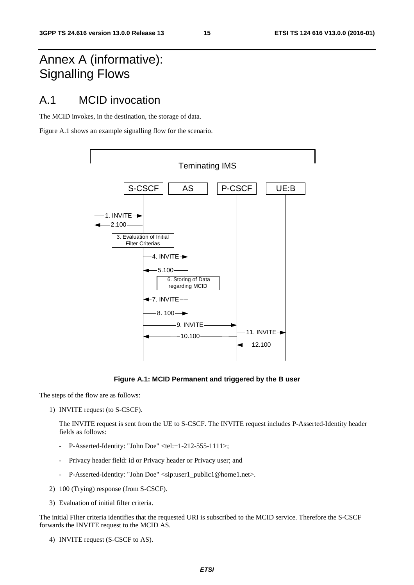# Annex A (informative): Signalling Flows

# A.1 MCID invocation

The MCID invokes, in the destination, the storage of data.

Figure A.1 shows an example signalling flow for the scenario.



**Figure A.1: MCID Permanent and triggered by the B user** 

The steps of the flow are as follows:

1) INVITE request (to S-CSCF).

 The INVITE request is sent from the UE to S-CSCF. The INVITE request includes P-Asserted-Identity header fields as follows:

- P-Asserted-Identity: "John Doe" <tel:+1-212-555-1111>;
- Privacy header field: id or Privacy header or Privacy user; and
- P-Asserted-Identity: "John Doe" <sip:user1\_public1@home1.net>.
- 2) 100 (Trying) response (from S-CSCF).
- 3) Evaluation of initial filter criteria.

The initial Filter criteria identifies that the requested URI is subscribed to the MCID service. Therefore the S-CSCF forwards the INVITE request to the MCID AS.

4) INVITE request (S-CSCF to AS).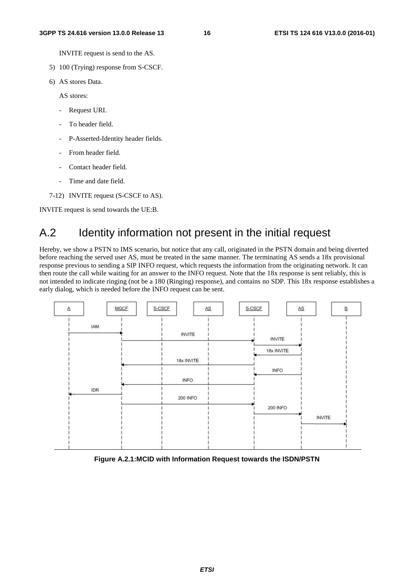INVITE request is send to the AS.

- 5) 100 (Trying) response from S-CSCF.
- 6) AS stores Data.

AS stores:

- Request URI.
- To header field.
- P-Asserted-Identity header fields.
- From header field.
- Contact header field.
- Time and date field.
- 7-12) INVITE request (S-CSCF to AS).

INVITE request is send towards the UE:B.

# A.2 Identity information not present in the initial request

Hereby, we show a PSTN to IMS scenario, but notice that any call, originated in the PSTN domain and being diverted before reaching the served user AS, must be treated in the same manner. The terminating AS sends a 18x provisional response previous to sending a SIP INFO request, which requests the information from the originating network. It can then route the call while waiting for an answer to the INFO request. Note that the 18x response is sent reliably, this is not intended to indicate ringing (not be a 180 (Ringing) response), and contains no SDP. This 18x response establishes a early dialog, which is needed before the INFO request can be sent.



**Figure A.2.1:MCID with Information Request towards the ISDN/PSTN**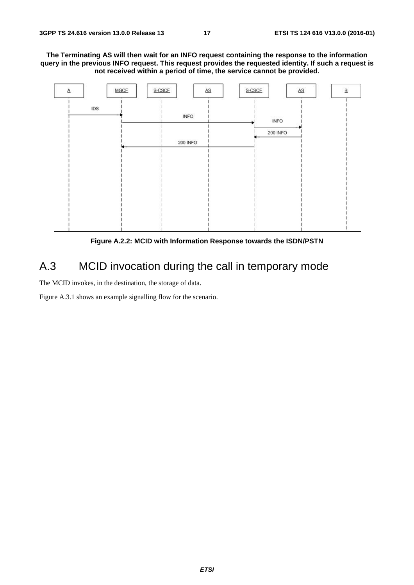**The Terminating AS will then wait for an INFO request containing the response to the information query in the previous INFO request. This request provides the requested identity. If such a request is not received within a period of time, the service cannot be provided.** 



**Figure A.2.2: MCID with Information Response towards the ISDN/PSTN** 

# A.3 MCID invocation during the call in temporary mode

The MCID invokes, in the destination, the storage of data.

Figure A.3.1 shows an example signalling flow for the scenario.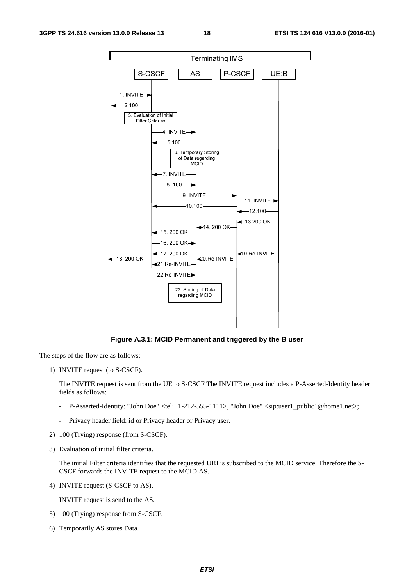

**Figure A.3.1: MCID Permanent and triggered by the B user** 

The steps of the flow are as follows:

1) INVITE request (to S-CSCF).

 The INVITE request is sent from the UE to S-CSCF The INVITE request includes a P-Asserted-Identity header fields as follows:

- P-Asserted-Identity: "John Doe" <tel:+1-212-555-1111>, "John Doe" <sip:user1\_public1@home1.net>;
- Privacy header field: id or Privacy header or Privacy user.
- 2) 100 (Trying) response (from S-CSCF).
- 3) Evaluation of initial filter criteria.

 The initial Filter criteria identifies that the requested URI is subscribed to the MCID service. Therefore the S-CSCF forwards the INVITE request to the MCID AS.

4) INVITE request (S-CSCF to AS).

INVITE request is send to the AS.

- 5) 100 (Trying) response from S-CSCF.
- 6) Temporarily AS stores Data.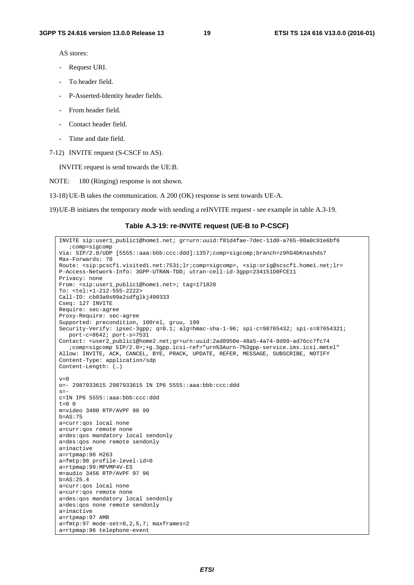AS stores:

- Request URI.
- To header field.
- P-Asserted-Identity header fields.
- From header field.
- Contact header field.
- Time and date field.
- 7-12) INVITE request (S-CSCF to AS).

INVITE request is send towards the UE:B.

NOTE: 180 (Ringing) response is not shown.

13-18) UE-B takes the communication. A 200 (OK) response is sent towards UE-A.

19) UE-B initiates the temporary mode with sending a reINVITE request - see example in table A.3-19.

#### **Table A.3-19: re-INVITE request (UE-B to P-CSCF)**

```
INVITE sip:user1_public1@home1.net; gr=urn:uuid:f81d4fae-7dec-11d0-a765-00a0c91e6bf6 
   ;comp=sigcomp 
Via: SIP/2.0/UDP [5555::aaa:bbb:ccc:ddd]:1357;comp=sigcomp;branch=z9hG4bKnashds7 
Max-Forwards: 70 
Route: <sip:pcscf1.visited1.net:7531;lr;comp=sigcomp>, <sip:orig@scscf1.home1.net;lr> 
P-Access-Network-Info: 3GPP-UTRAN-TDD; utran-cell-id-3gpp=234151D0FCE11 
Privacy: none 
From: <sip:user1_public1@home1.net>; tag=171828 
To: <tel:+1-212-555-2222> 
Call-ID: cb03a0s09a2sdfglkj490333 
Cseq: 127 INVITE 
Require: sec-agree 
Proxy-Require: sec-agree 
Supported: precondition, 100rel, gruu, 199 
Security-Verify: ipsec-3gpp; q=0.1; alg=hmac-sha-1-96; spi-c=98765432; spi-s=87654321; 
  port-c=8642; port-s=7531 
Contact: <user2_public1@home2.net;gr=urn:uuid:2ad8950e-48a5-4a74-8d99-ad76cc7fc74 
   ;comp=sigcomp SIP/2.0>;+g.3gpp.icsi-ref="urn%3Aurn-7%3gpp-service.ims.icsi.mmtel" 
Allow: INVITE, ACK, CANCEL, BYE, PRACK, UPDATE, REFER, MESSAGE, SUBSCRIBE, NOTIFY 
Content-Type: application/sdp 
Content-Length: (…) 
v=0o=- 2987933615 2987933615 IN IP6 5555::aaa:bbb:ccc:ddd 
s=-c=IN IP6 5555::aaa:bbb:ccc:ddd 
t=0 0
m=video 3400 RTP/AVPF 98 99 
b=AS:75 
a=curr:qos local none 
a=curr:qos remote none 
a=des:qos mandatory local sendonly 
a=des:qos none remote sendonly 
a=inactive 
a=rtpmap:98 H263 
a=fmtp:98 profile-level-id=0 
a=rtpmap:99:MPVMP4V-ES 
m=audio 3456 RTP/AVPF 97 96 
b=AS:25.4 
a=curr:qos local none 
a=curr:qos remote none 
a=des:qos mandatory local sendonly 
a=des:qos none remote sendonly 
a=inactive 
a=rtpmap:97 AMR 
a=fmtp:97 mode-set=0,2,5,7; maxframes=2 
a=rtpmap:96 telephone-event
```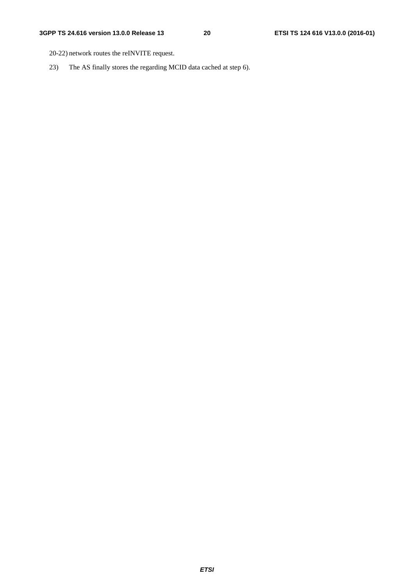- 20-22) network routes the reINVITE request.
- 23) The AS finally stores the regarding MCID data cached at step 6).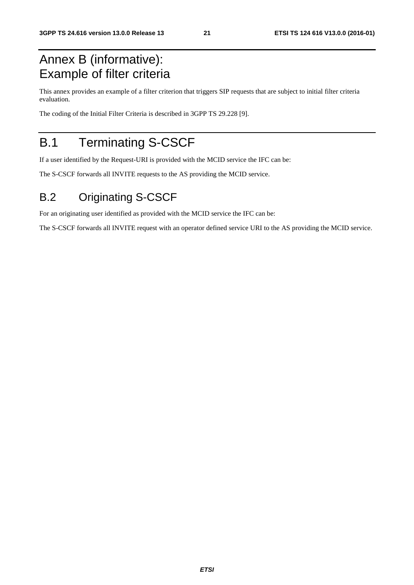# Annex B (informative): Example of filter criteria

This annex provides an example of a filter criterion that triggers SIP requests that are subject to initial filter criteria evaluation.

The coding of the Initial Filter Criteria is described in 3GPP TS 29.228 [9].

# B.1 Terminating S-CSCF

If a user identified by the Request-URI is provided with the MCID service the IFC can be:

The S-CSCF forwards all INVITE requests to the AS providing the MCID service.

# B.2 Originating S-CSCF

For an originating user identified as provided with the MCID service the IFC can be:

The S-CSCF forwards all INVITE request with an operator defined service URI to the AS providing the MCID service.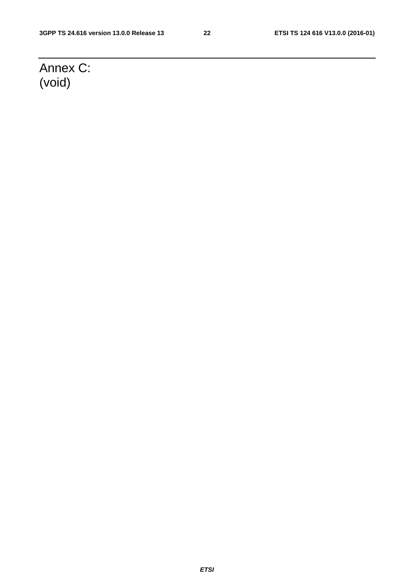# Annex C: (void)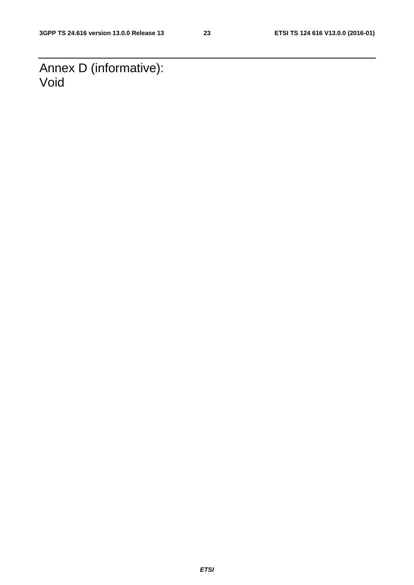Annex D (informative): Void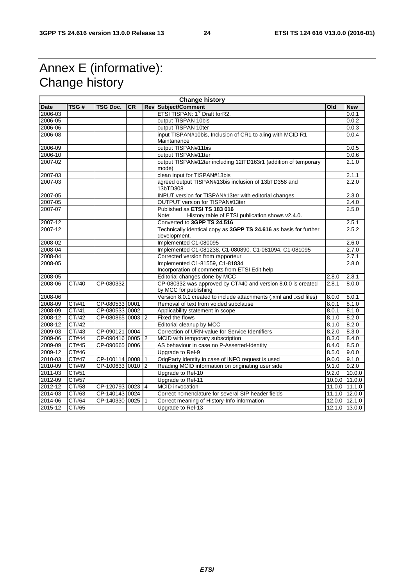# Annex E (informative): Change history

| <b>Change history</b> |              |                  |           |              |                                                                                       |       |               |
|-----------------------|--------------|------------------|-----------|--------------|---------------------------------------------------------------------------------------|-------|---------------|
| <b>Date</b>           | TSG#         | TSG Doc.         | <b>CR</b> |              | <b>Rev Subject/Comment</b>                                                            | Old   | <b>New</b>    |
| 2006-03               |              |                  |           |              | ETSI TISPAN: 1st Draft forR2.                                                         |       | 0.0.1         |
| 2006-05               |              |                  |           |              | output TISPAN 10bis                                                                   |       | 0.0.2         |
| 2006-06               |              |                  |           |              | output TISPAN 10ter                                                                   |       | 0.0.3         |
| 2006-08               |              |                  |           |              | input TISPAN#10bis, Inclusion of CR1 to aling with MCID R1                            |       | 0.0.4         |
|                       |              |                  |           |              | Maintanance                                                                           |       |               |
| 2006-09               |              |                  |           |              | output TISPAN#11bis                                                                   |       | 0.0.5         |
| 2006-10               |              |                  |           |              | output TISPAN#11ter                                                                   |       | 0.0.6         |
| 2007-02               |              |                  |           |              | output TISPAN#12ter including 12tTD163r1 (addition of temporary<br>mode)              |       | 2.1.0         |
| 2007-03               |              |                  |           |              | clean input for TISPAN#13bis                                                          |       | 2.1.1         |
| 2007-03               |              |                  |           |              | agreed output TISPAN#13bis inclusion of 13bTD358 and<br>13bTD308                      |       | 2.2.0         |
| 2007-05               |              |                  |           |              | INPUT version for TISPAN#13ter with editorial changes                                 |       | 2.3.0         |
| 2007-05               |              |                  |           |              | OUTPUT version for TISPAN#13ter                                                       |       | 2.4.0         |
| 2007-07               |              |                  |           |              | Published as ETSI TS 183 016                                                          |       | 2.5.0         |
|                       |              |                  |           |              | History table of ETSI publication shows v2.4.0.<br>Note:                              |       |               |
| 2007-12               |              |                  |           |              | Converted to 3GPP TS 24.516                                                           |       | 2.5.1         |
| 2007-12               |              |                  |           |              | Technically identical copy as 3GPP TS 24.616 as basis for further<br>development.     |       | 2.5.2         |
| $2008 - 02$           |              |                  |           |              | Implemented C1-080095                                                                 |       | 2.6.0         |
| 2008-04               |              |                  |           |              | Implemented C1-081238, C1-080890, C1-081094, C1-081095                                |       | 2.7.0         |
| 2008-04               |              |                  |           |              | Corrected version from rapporteur                                                     |       | 2.7.1         |
| 2008-05               |              |                  |           |              | Implemented C1-81559, C1-81834                                                        |       | 2.8.0         |
|                       |              |                  |           |              | Incorporation of comments from ETSI Edit help                                         |       |               |
| 2008-05               |              |                  |           |              | Editorial changes done by MCC                                                         | 2.8.0 | 2.8.1         |
| 2008-06               | CT#40        | CP-080332        |           |              | CP-080332 was approved by CT#40 and version 8.0.0 is created<br>by MCC for publishing | 2.8.1 | 8.0.0         |
| 2008-06               |              |                  |           |              | Version 8.0.1 created to include attachments (.xml and .xsd files)                    | 8.0.0 | 8.0.1         |
| 2008-09               | CT#41        | CP-080533 0001   |           |              | Removal of text from voided subclause                                                 | 8.0.1 | 8.1.0         |
| 2008-09               | CT#41        | CP-080533 0002   |           |              | Applicability statement in scope                                                      | 8.0.1 | 8.1.0         |
| 2008-12               | CT#42        | CP-080865 0003 2 |           |              | Fixed the flows                                                                       | 8.1.0 | 8.2.0         |
| 2008-12               | <b>CT#42</b> |                  |           |              | Editorial cleanup by MCC                                                              | 8.1.0 | 8.2.0         |
| 2009-03               | CT#43        | CP-090121 0004   |           |              | Correction of URN-value for Service Identifiers                                       | 8.2.0 | 8.3.0         |
| 2009-06               | CT#44        | CP-090416 0005 2 |           |              | MCID with temporary subscription                                                      | 8.3.0 | 8.4.0         |
| 2009-09               | CT#45        | CP-090665 0006   |           |              | AS behaviour in case no P-Asserted-Identity                                           | 8.4.0 | 8.5.0         |
| 2009-12               | CT#46        |                  |           |              | Upgrade to Rel-9                                                                      | 8.5.0 | 9.0.0         |
| 2010-03               | CT#47        | CP-100114 0008   |           | $\vert$ 1    | OrigParty identity in case of INFO request is used                                    | 9.0.0 | 9.1.0         |
| 2010-09               | CT#49        | CP-100633 0010   |           | <b>2</b>     | Reading MCID information on originating user side                                     | 9.1.0 | 9.2.0         |
| 2011-03               | CT#51        |                  |           |              | Upgrade to Rel-10                                                                     | 9.2.0 | 10.0.0        |
| 2012-09               | CT#57        |                  |           |              | Upgrade to Rel-11                                                                     |       | 10.0.0 11.0.0 |
| 2012-12               | CT#58        | CP-120793 0023 4 |           |              | <b>MCID</b> invocation                                                                |       | 11.0.0 11.1.0 |
| 2014-03               | CT#63        | CP-140143 0024   |           |              | Correct nomenclature for several SIP header fields                                    |       | 11.1.0 12.0.0 |
| 2014-06               | CT#64        | CP-140330 0025   |           | $\mathbf{1}$ | Correct meaning of History-Info information                                           |       | 12.0.0 12.1.0 |
| 2015-12               | CT#65        |                  |           |              | Upgrade to Rel-13                                                                     |       | 12.1.0 13.0.0 |